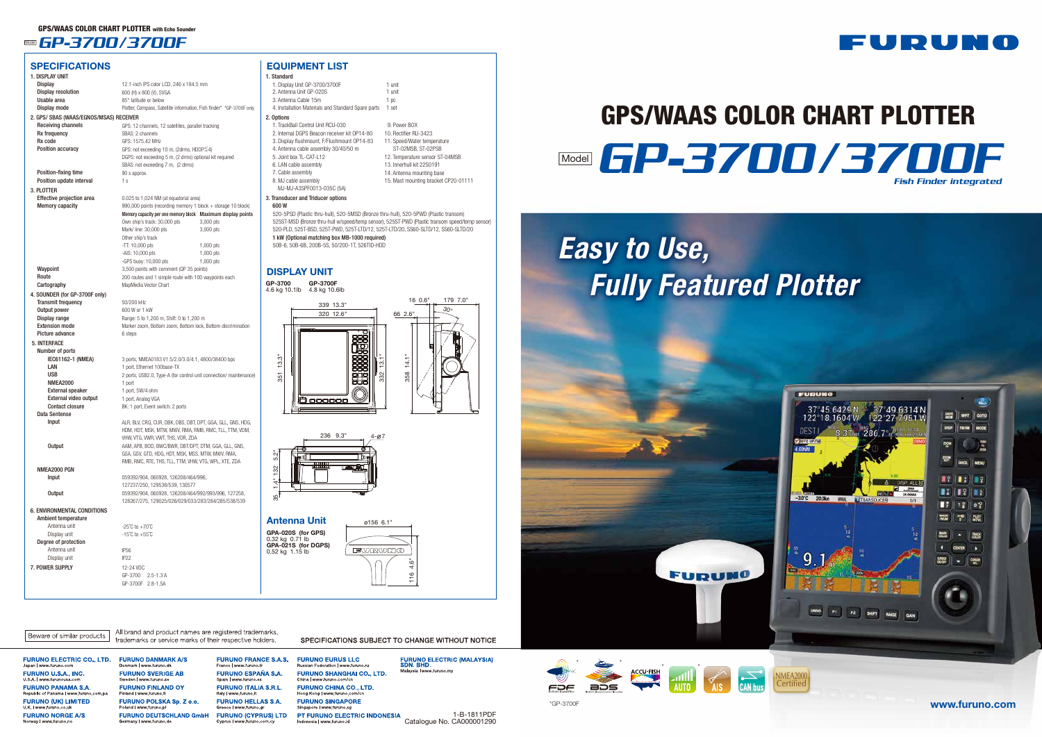GP-3700F 2.8-1.5A

FURUNO U.S.A., INC. **ILSA** LWWW **FURUNO PANAMA S.A. FURUNO (UK) LIMITED FURUNO NORGE A/S** 

**FURUNO DANMARK A/S** enmark | www.furuno.d **FURUNO SVERIGE AB FURUNO FINLAND OY** Finland | www.furuno. FURUNO POLSKA Sp. Z o.o. **FURUNO DEUTSCHLAND GmbH** 

All brand and product names are registered trademarks,

**FURUNO FRANCE S.A.S. FURUNO ESPAÑA S.A.** Snain Lwww fur **FURUNO ITALIA S.R.L. FURUNO HELLAS S.A. FURUNO (CYPRUS) LTD** 

**FURUNO EURUS LLC FURUNO SHANGHAI CO., LTD. FURUNO CHINA CO., LTD. FURUNO SINGAPORE** PT FURUNO ELECTRIC INDONESIA

SPECIFICATIONS SUBJECT TO CHANGE WITHOUT NOTICE

**FURUNO ELECTRIC (MALAYSIA)**<br>SDN. BHD. Malaysia | www.furuno.m

NMEA2000 Certified





| <u>JELULIUAI IUNJ</u>                   |                                                                      |             |
|-----------------------------------------|----------------------------------------------------------------------|-------------|
| 1. DISPLAY UNIT                         |                                                                      |             |
| <b>Display</b>                          | 12.1-inch IPS color LCD, 246 x 184.5 mm                              |             |
| <b>Display resolution</b>               | 600 (H) x 800 (V), SVGA                                              |             |
| Usable area                             | 85° latitude or below                                                |             |
| Display mode                            | Plotter, Compass, Satellite information, Fish finder* *GP-3700F only |             |
| 2. GPS/ SBAS (WAAS/EGNOS/MSAS) RECEIVER |                                                                      |             |
| Receiving channels                      | GPS: 12 channels, 12 satellites, parallel tracking                   |             |
| Rx frequency                            | SBAS: 2 channels                                                     |             |
| Rx code                                 | GPS: 1575.42 MHz                                                     |             |
| <b>Position accuracy</b>                | GPS: not exceeding 10 m, (2drms, HDOP≦4)                             |             |
|                                         | DGPS: not exceeding 5 m, (2 drms) optional kit required              |             |
|                                         | SBAS: not exceeding 7 m, (2 drms)                                    |             |
| Position-fixing time                    | 90 s approx.                                                         |             |
| Position update interval                | 1 s                                                                  |             |
|                                         |                                                                      |             |
| 3. PLOTTER                              |                                                                      |             |
| Effective projection area               | 0.025 to 1,024 NM (at equatorial area)                               |             |
| <b>Memory capacity</b>                  | 990,000 points (recording memory 1 block + storage 10 block)         |             |
|                                         | Memory capacity per one memory block Maximum display points          |             |
|                                         | Own ship's track: 30,000 pts                                         | 3,000 pts   |
|                                         | Mark/ line: 30,000 pts                                               | 3,000 pts   |
|                                         | Other ship's track                                                   |             |
|                                         | $-TT: 10,000$ pts                                                    | $1,000$ pts |
|                                         | -AIS: 10,000 pts                                                     | 1,000 pts   |
|                                         | -GPS buoy: 10,000 pts                                                | 1,000 pts   |
| Waypoint                                | 3,500 points with comment (QP 35 points)                             |             |
| Route                                   | 200 routes and 1 simple route with 100 waypoints each                |             |
| Cartography                             | MapMedia Vector Chart                                                |             |
| 4. SOUNDER (for GP-3700F only)          |                                                                      |             |
| <b>Transmit frequency</b>               | 50/200 kHz                                                           |             |
| Output power                            | 600 W or 1 kW                                                        |             |
| Display range                           | Range: 5 to 1,200 m, Shift: 0 to 1,200 m                             |             |
| <b>Extension mode</b>                   | Marker zoom, Bottom zoom, Bottom lock, Bottom discrimination         |             |
| Picture advance                         | 6 steps                                                              |             |
| 5. INTERFACE                            |                                                                      |             |
| Number of ports                         |                                                                      |             |
| IEC61162-1 (NMEA)                       | 3 ports, NMEA0183 V1.5/2.0/3.0/4.1, 4800/38400 bps                   |             |
| LAN                                     | 1 port, Ethernet 100base-TX                                          |             |
| <b>USB</b>                              | 2 ports, USB2.0, Type-A (for control unit connection/ maintenance)   |             |
| <b>NMEA2000</b>                         | 1 port                                                               |             |
| <b>External speaker</b>                 | 1 port, 5W/4 ohm                                                     |             |
| External video output                   | 1 port, Analog VGA                                                   |             |
| <b>Contact closure</b>                  | BK: 1 port, Event switch: 2 ports                                    |             |
| <b>Data Sentense</b>                    |                                                                      |             |
| Input                                   | ALR, BLV, CRQ, CUR, DBK, DBS, DBT, DPT, GGA, GLL, GNS, HDG,          |             |
|                                         | HDM, HDT, MSK, MTW, MWV, RMA, RMB, RMC, TLL, TTM, VDM,               |             |
|                                         | VHW, VTG, VWR, VWT, THS, VDR, ZDA                                    |             |
| Output                                  | AAM, APB, BOD, BWC/BWR, DBT/DPT, DTM, GGA, GLL, GNS,                 |             |
|                                         | GSA, GSV, GTD, HDG, HDT, MSK, MSS, MTW, MWV, RMA,                    |             |
|                                         | RMB, RMC, RTE, THS, TLL, TTM, VHW, VTG, WPL, XTE, ZDA                |             |
| NMEA2000 PGN                            |                                                                      |             |
| Input                                   | 059392/904, 060928, 126208/464/996,                                  |             |
|                                         | 127237/250, 129538/539, 130577                                       |             |
| <b>Output</b>                           | 059392/904, 060928, 126208/464/992/993/996, 127258,                  |             |
|                                         | 128267/275, 129025/026/029/033/283/284/285/538/539                   |             |
| <b>6. ENVIRONMENTAL CONDITIONS</b>      |                                                                      |             |
| <b>Ambient temperature</b>              |                                                                      |             |
| Antenna unit                            | $-25^{\circ}$ C to $+70^{\circ}$ C                                   |             |
| Display unit                            | $-15^{\circ}$ C to $+55^{\circ}$ C                                   |             |
| Degree of protection                    |                                                                      |             |
| Antenna unit                            | IP <sub>56</sub>                                                     |             |
| Display unit                            | IP <sub>22</sub>                                                     |             |
| 7. POWER SUPPLY                         | 12-24 VDC                                                            |             |
|                                         | GP-3700 2.5-1.3 A                                                    |             |

#### EQUIPMENT LIST 1. Standard

 $2.$ 

| 1. Standard                                                                           |                                                                                                |
|---------------------------------------------------------------------------------------|------------------------------------------------------------------------------------------------|
| 1. Display Unit GP-3700/3700F                                                         | 1 unit                                                                                         |
| 2. Antenna Unit GP-020S                                                               | 1 unit                                                                                         |
| 3. Antenna Cable 15m                                                                  | 1 pc                                                                                           |
| 4. Installation Materials and Standard Spare parts                                    | 1 set                                                                                          |
| 2. Options                                                                            |                                                                                                |
| 1. TrackBall Control Unit RCU-030                                                     | 9. Power BOX                                                                                   |
| 2. Internal DGPS Beacon receiver kit OP14-80                                          | 10 Rectifier RU-3423                                                                           |
| 3. Display flushmount, F/Flushmount OP14-83                                           | 11. Speed/Water temperature                                                                    |
| 4. Antenna cable assembly 30/40/50 m                                                  | ST-02MSB, ST-02PSB                                                                             |
| 5 Joint box TL-CAT-L12                                                                | 12. Temperature sensor ST-04MSB                                                                |
| 6. LAN cable assembly                                                                 | 13. Innerhull kit 22S0191                                                                      |
| 7. Cable assembly                                                                     | 14. Antenna mounting base                                                                      |
| 8. MJ cable assembly                                                                  | 15. Mast mounting bracket CP20-01111                                                           |
| MJ-MJ-A3SPF0013-035C (5A)                                                             |                                                                                                |
| 3. Transducer and Triducer options                                                    |                                                                                                |
| 600 W                                                                                 |                                                                                                |
| 520-5PSD (Plastic thru-hull), 520-5MSD (Bronze thru-hull), 520-5PWD (Plastic transom) |                                                                                                |
|                                                                                       | 525ST-MSD (Bronze thru-hull w/speed/temp sensor), 525ST-PWD (Plastic transom speed/temp sensor |
| 520-PLD, 525T-BSD, 525T-PWD, 525T-LTD/12, 525T-LTD/20, SS60-SLTD/12, SS60-SLTD/20     |                                                                                                |
| 1 kW (Optional matching box MB-1000 required)                                         |                                                                                                |
| 50B-6, 50B-6B, 200B-5S, 50/200-1T, 526TID-HDD                                         |                                                                                                |
|                                                                                       |                                                                                                |
|                                                                                       |                                                                                                |
| <b>DISPLAY UNIT</b>                                                                   |                                                                                                |
|                                                                                       |                                                                                                |
|                                                                                       |                                                                                                |

#### $\mathbf D$



### **Model GP-3700/3700F**

**SPECIFICATIONS** 

1-B-1811PDF

### FDF

Catalogue No. CA000001290

## GP-3700/3700F Model GPS/WAAS COLOR CHART PLOTTER Fish Finder integrated

# *Easy to Use, Fully Featured Plotter*









### Antenna Unit **ø156 6.1**"

**GPA-020S (for GPS)**<br>0.32 kg 0.71 lb<br>**GPA-021S (for DGPS)**<br>0.52 kg 1.15 lb



#### Beware of similar products

trademarks or service marks of their respective holders. **FURUNO ELECTRIC CO., LTD.**